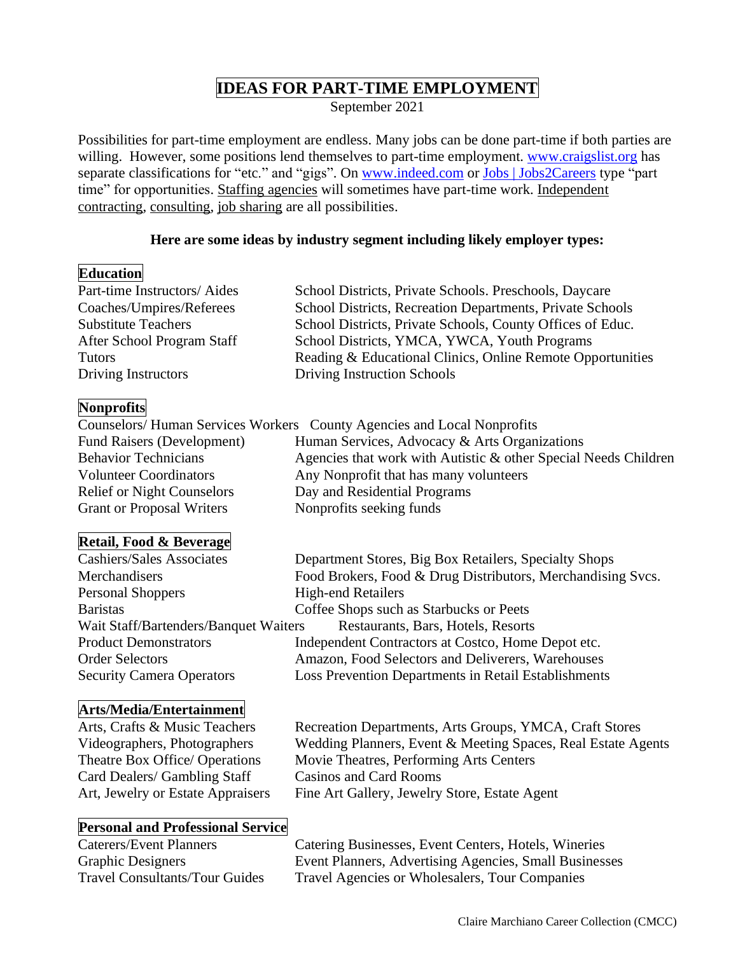# **IDEAS FOR PART-TIME EMPLOYMENT**

September 2021

Possibilities for part-time employment are endless. Many jobs can be done part-time if both parties are willing. However, some positions lend themselves to part-time employment. [www.craigslist.org](http://www.craigslist.org/) has separate classifications for "etc." and "gigs". On [www.indeed.com](http://www.indeed.com/) or [Jobs | Jobs2Careers](https://www.jobs2careers.com/?q=part%20time) type "part time" for opportunities. Staffing agencies will sometimes have part-time work. Independent contracting, consulting, job sharing are all possibilities.

# **Here are some ideas by industry segment including likely employer types:**

# **Education**

| Part-time Instructors/Aides | School Districts, Private Schools. Preschools, Daycare     |
|-----------------------------|------------------------------------------------------------|
| Coaches/Umpires/Referees    | School Districts, Recreation Departments, Private Schools  |
| <b>Substitute Teachers</b>  | School Districts, Private Schools, County Offices of Educ. |
| After School Program Staff  | School Districts, YMCA, YWCA, Youth Programs               |
| <b>Tutors</b>               | Reading & Educational Clinics, Online Remote Opportunities |
| Driving Instructors         | Driving Instruction Schools                                |
|                             |                                                            |

# **Nonprofits**

|                                   | Counselors/Human Services Workers County Agencies and Local Nonprofits |
|-----------------------------------|------------------------------------------------------------------------|
| <b>Fund Raisers (Development)</b> | Human Services, Advocacy & Arts Organizations                          |
| <b>Behavior Technicians</b>       | Agencies that work with Autistic & other Special Needs Children        |
| <b>Volunteer Coordinators</b>     | Any Nonprofit that has many volunteers                                 |
| <b>Relief or Night Counselors</b> | Day and Residential Programs                                           |
| <b>Grant or Proposal Writers</b>  | Nonprofits seeking funds                                               |

# **Retail, Food & Beverage**

| <b>Cashiers/Sales Associates</b>                                            | Department Stores, Big Box Retailers, Specialty Shops       |
|-----------------------------------------------------------------------------|-------------------------------------------------------------|
| Merchandisers                                                               | Food Brokers, Food & Drug Distributors, Merchandising Svcs. |
| <b>Personal Shoppers</b>                                                    | <b>High-end Retailers</b>                                   |
| <b>Baristas</b>                                                             | Coffee Shops such as Starbucks or Peets                     |
| Wait Staff/Bartenders/Banquet Waiters<br>Restaurants, Bars, Hotels, Resorts |                                                             |
| <b>Product Demonstrators</b>                                                | Independent Contractors at Costco, Home Depot etc.          |
| <b>Order Selectors</b>                                                      | Amazon, Food Selectors and Deliverers, Warehouses           |
| <b>Security Camera Operators</b>                                            | Loss Prevention Departments in Retail Establishments        |

# **Arts/Media/Entertainment**

Card Dealers/ Gambling Staff Casinos and Card Rooms

Arts, Crafts & Music Teachers Recreation Departments, Arts Groups, YMCA, Craft Stores Videographers, Photographers Wedding Planners, Event & Meeting Spaces, Real Estate Agents Theatre Box Office/ Operations Movie Theatres, Performing Arts Centers Art, Jewelry or Estate Appraisers Fine Art Gallery, Jewelry Store, Estate Agent

# **Personal and Professional Service**

Caterers/Event Planners Catering Businesses, Event Centers, Hotels, Wineries Graphic Designers Event Planners, Advertising Agencies, Small Businesses Travel Consultants/Tour Guides Travel Agencies or Wholesalers, Tour Companies